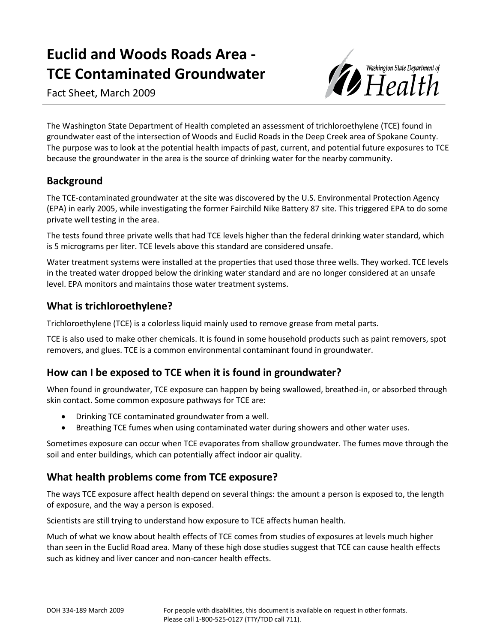# **Euclid and Woods Roads Area - TCE Contaminated Groundwater**

Fact Sheet, March 2009



The Washington State Department of Health completed an assessment of trichloroethylene (TCE) found in groundwater east of the intersection of Woods and Euclid Roads in the Deep Creek area of Spokane County. The purpose was to look at the potential health impacts of past, current, and potential future exposures to TCE because the groundwater in the area is the source of drinking water for the nearby community.

## **Background**

The TCE-contaminated groundwater at the site was discovered by the U.S. Environmental Protection Agency (EPA) in early 2005, while investigating the former Fairchild Nike Battery 87 site. This triggered EPA to do some private well testing in the area.

The tests found three private wells that had TCE levels higher than the federal drinking water standard, which is 5 micrograms per liter. TCE levels above this standard are considered unsafe.

Water treatment systems were installed at the properties that used those three wells. They worked. TCE levels in the treated water dropped below the drinking water standard and are no longer considered at an unsafe level. EPA monitors and maintains those water treatment systems.

## **What is trichloroethylene?**

Trichloroethylene (TCE) is a colorless liquid mainly used to remove grease from metal parts.

TCE is also used to make other chemicals. It is found in some household products such as paint removers, spot removers, and glues. TCE is a common environmental contaminant found in groundwater.

## **How can I be exposed to TCE when it is found in groundwater?**

When found in groundwater, TCE exposure can happen by being swallowed, breathed-in, or absorbed through skin contact. Some common exposure pathways for TCE are:

- Drinking TCE contaminated groundwater from a well.
- Breathing TCE fumes when using contaminated water during showers and other water uses.

Sometimes exposure can occur when TCE evaporates from shallow groundwater. The fumes move through the soil and enter buildings, which can potentially affect indoor air quality.

## **What health problems come from TCE exposure?**

The ways TCE exposure affect health depend on several things: the amount a person is exposed to, the length of exposure, and the way a person is exposed.

Scientists are still trying to understand how exposure to TCE affects human health.

Much of what we know about health effects of TCE comes from studies of exposures at levels much higher than seen in the Euclid Road area. Many of these high dose studies suggest that TCE can cause health effects such as kidney and liver cancer and non-cancer health effects.